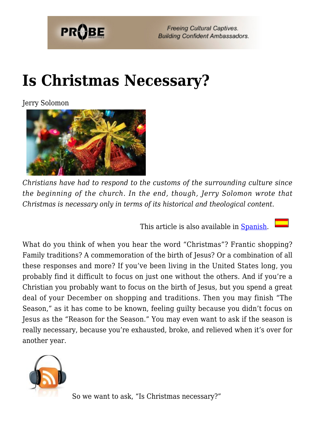

# **[Is Christmas Necessary?](https://probe.org/is-christmas-necessary/)**

Jerry Solomon



*Christians have had to respond to the customs of the surrounding culture since the beginning of the church. In the end, though, Jerry Solomon wrote that Christmas is necessary only in terms of its historical and theological content.*

This article is also available in [Spanish.](http://www.ministeriosprobe.org/docs/navidad.html)

What do you think of when you hear the word "Christmas"? Frantic shopping? Family traditions? A commemoration of the birth of Jesus? Or a combination of all these responses and more? If you've been living in the United States long, you probably find it difficult to focus on just one without the others. And if you're a Christian you probably want to focus on the birth of Jesus, but you spend a great deal of your December on shopping and traditions. Then you may finish "The Season," as it has come to be known, feeling guilty because you didn't focus on Jesus as the "Reason for the Season." You may even want to ask if the season is really necessary, because you're exhausted, broke, and relieved when it's over for another year.



So we want to ask, "Is Christmas necessary?"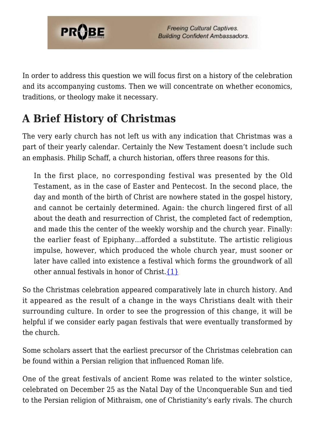

In order to address this question we will focus first on a history of the celebration and its accompanying customs. Then we will concentrate on whether economics, traditions, or theology make it necessary.

# **A Brief History of Christmas**

The very early church has not left us with any indication that Christmas was a part of their yearly calendar. Certainly the New Testament doesn't include such an emphasis. Philip Schaff, a church historian, offers three reasons for this.

In the first place, no corresponding festival was presented by the Old Testament, as in the case of Easter and Pentecost. In the second place, the day and month of the birth of Christ are nowhere stated in the gospel history, and cannot be certainly determined. Again: the church lingered first of all about the death and resurrection of Christ, the completed fact of redemption, and made this the center of the weekly worship and the church year. Finally: the earlier feast of Epiphany…afforded a substitute. The artistic religious impulse, however, which produced the whole church year, must sooner or later have called into existence a festival which forms the groundwork of all other annual festivals in honor of Christ. $\{1\}$ 

So the Christmas celebration appeared comparatively late in church history. And it appeared as the result of a change in the ways Christians dealt with their surrounding culture. In order to see the progression of this change, it will be helpful if we consider early pagan festivals that were eventually transformed by the church.

Some scholars assert that the earliest precursor of the Christmas celebration can be found within a Persian religion that influenced Roman life.

One of the great festivals of ancient Rome was related to the winter solstice, celebrated on December 25 as the Natal Day of the Unconquerable Sun and tied to the Persian religion of Mithraism, one of Christianity's early rivals. The church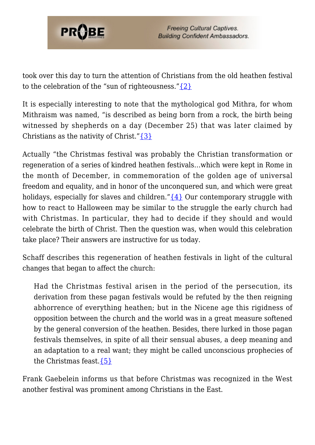

took over this day to turn the attention of Christians from the old heathen festival to the celebration of the "sun of righteousness." $\{2\}$ 

It is especially interesting to note that the mythological god Mithra, for whom Mithraism was named, "is described as being born from a rock, the birth being witnessed by shepherds on a day (December 25) that was later claimed by Christians as the nativity of Christ.["{3}](#page-12-1)

Actually "the Christmas festival was probably the Christian transformation or regeneration of a series of kindred heathen festivals…which were kept in Rome in the month of December, in commemoration of the golden age of universal freedom and equality, and in honor of the unconquered sun, and which were great holidays, especially for slaves and children." $\{4\}$  Our contemporary struggle with how to react to Halloween may be similar to the struggle the early church had with Christmas. In particular, they had to decide if they should and would celebrate the birth of Christ. Then the question was, when would this celebration take place? Their answers are instructive for us today.

Schaff describes this regeneration of heathen festivals in light of the cultural changes that began to affect the church:

Had the Christmas festival arisen in the period of the persecution, its derivation from these pagan festivals would be refuted by the then reigning abhorrence of everything heathen; but in the Nicene age this rigidness of opposition between the church and the world was in a great measure softened by the general conversion of the heathen. Besides, there lurked in those pagan festivals themselves, in spite of all their sensual abuses, a deep meaning and an adaptation to a real want; they might be called unconscious prophecies of the Christmas feast.  $\{5\}$ 

Frank Gaebelein informs us that before Christmas was recognized in the West another festival was prominent among Christians in the East.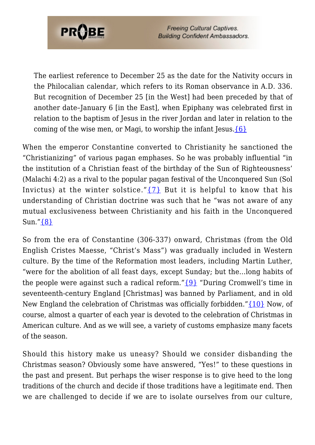

The earliest reference to December 25 as the date for the Nativity occurs in the Philocalian calendar, which refers to its Roman observance in A.D. 336. But recognition of December 25 [in the West] had been preceded by that of another date–January 6 [in the East], when Epiphany was celebrated first in relation to the baptism of Jesus in the river Jordan and later in relation to the coming of the wise men, or Magi, to worship the infant Jesus. ${6}$ 

When the emperor Constantine converted to Christianity he sanctioned the "Christianizing" of various pagan emphases. So he was probably influential "in the institution of a Christian feast of the birthday of the Sun of Righteousness' (Malachi 4:2) as a rival to the popular pagan festival of the Unconquered Sun (Sol Invictus) at the winter solstice." $\{7\}$  But it is helpful to know that his understanding of Christian doctrine was such that he "was not aware of any mutual exclusiveness between Christianity and his faith in the Unconquered Sun."[{8}](#page-12-6)

So from the era of Constantine (306-337) onward, Christmas (from the Old English Cristes Maesse, "Christ's Mass") was gradually included in Western culture. By the time of the Reformation most leaders, including Martin Luther, "were for the abolition of all feast days, except Sunday; but the…long habits of the people were against such a radical reform." $\{9\}$  "During Cromwell's time in seventeenth-century England [Christmas] was banned by Parliament, and in old New England the celebration of Christmas was officially forbidden."[{10}](#page-12-8) Now, of course, almost a quarter of each year is devoted to the celebration of Christmas in American culture. And as we will see, a variety of customs emphasize many facets of the season.

Should this history make us uneasy? Should we consider disbanding the Christmas season? Obviously some have answered, "Yes!" to these questions in the past and present. But perhaps the wiser response is to give heed to the long traditions of the church and decide if those traditions have a legitimate end. Then we are challenged to decide if we are to isolate ourselves from our culture,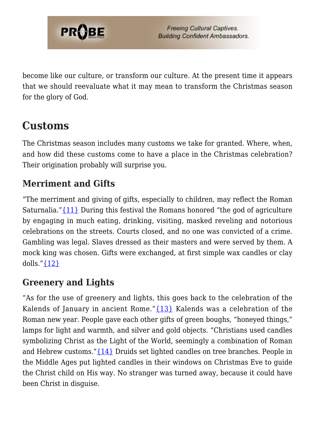

become like our culture, or transform our culture. At the present time it appears that we should reevaluate what it may mean to transform the Christmas season for the glory of God.

## **Customs**

The Christmas season includes many customs we take for granted. Where, when, and how did these customs come to have a place in the Christmas celebration? Their origination probably will surprise you.

#### **Merriment and Gifts**

"The merriment and giving of gifts, especially to children, may reflect the Roman Saturnalia.["{11}](#page-12-9) During this festival the Romans honored "the god of agriculture by engaging in much eating, drinking, visiting, masked reveling and notorious celebrations on the streets. Courts closed, and no one was convicted of a crime. Gambling was legal. Slaves dressed as their masters and were served by them. A mock king was chosen. Gifts were exchanged, at first simple wax candles or clay dolls." $\{12\}$ 

#### **Greenery and Lights**

"As for the use of greenery and lights, this goes back to the celebration of the Kalends of January in ancient Rome."[{13}](#page-12-11) Kalends was a celebration of the Roman new year. People gave each other gifts of green boughs, "honeyed things," lamps for light and warmth, and silver and gold objects. "Christians used candles symbolizing Christ as the Light of the World, seemingly a combination of Roman and Hebrew customs.["{14}](#page-12-12) Druids set lighted candles on tree branches. People in the Middle Ages put lighted candles in their windows on Christmas Eve to guide the Christ child on His way. No stranger was turned away, because it could have been Christ in disguise.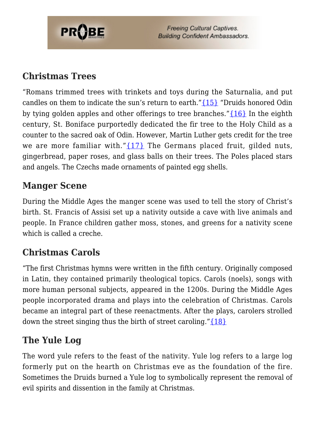

#### **Christmas Trees**

"Romans trimmed trees with trinkets and toys during the Saturnalia, and put candles on them to indicate the sun's return to earth." $\{15\}$  "Druids honored Odin by tying golden apples and other offerings to tree branches." $\{16\}$  In the eighth century, St. Boniface purportedly dedicated the fir tree to the Holy Child as a counter to the sacred oak of Odin. However, Martin Luther gets credit for the tree we are more familiar with." $\{17\}$  The Germans placed fruit, gilded nuts, gingerbread, paper roses, and glass balls on their trees. The Poles placed stars and angels. The Czechs made ornaments of painted egg shells.

#### **Manger Scene**

During the Middle Ages the manger scene was used to tell the story of Christ's birth. St. Francis of Assisi set up a nativity outside a cave with live animals and people. In France children gather moss, stones, and greens for a nativity scene which is called a creche.

## **Christmas Carols**

"The first Christmas hymns were written in the fifth century. Originally composed in Latin, they contained primarily theological topics. Carols (noels), songs with more human personal subjects, appeared in the 1200s. During the Middle Ages people incorporated drama and plays into the celebration of Christmas. Carols became an integral part of these reenactments. After the plays, carolers strolled down the street singing thus the birth of street caroling." $\{18\}$ 

## **The Yule Log**

The word yule refers to the feast of the nativity. Yule log refers to a large log formerly put on the hearth on Christmas eve as the foundation of the fire. Sometimes the Druids burned a Yule log to symbolically represent the removal of evil spirits and dissention in the family at Christmas.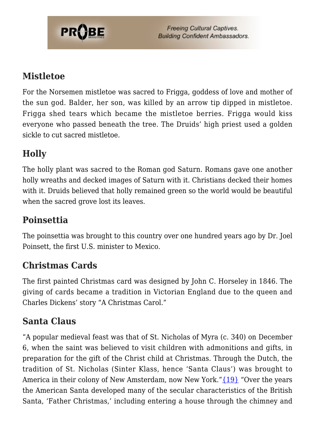

#### **Mistletoe**

For the Norsemen mistletoe was sacred to Frigga, goddess of love and mother of the sun god. Balder, her son, was killed by an arrow tip dipped in mistletoe. Frigga shed tears which became the mistletoe berries. Frigga would kiss everyone who passed beneath the tree. The Druids' high priest used a golden sickle to cut sacred mistletoe.

## **Holly**

The holly plant was sacred to the Roman god Saturn. Romans gave one another holly wreaths and decked images of Saturn with it. Christians decked their homes with it. Druids believed that holly remained green so the world would be beautiful when the sacred grove lost its leaves.

## **Poinsettia**

The poinsettia was brought to this country over one hundred years ago by Dr. Joel Poinsett, the first U.S. minister to Mexico.

## **Christmas Cards**

The first painted Christmas card was designed by John C. Horseley in 1846. The giving of cards became a tradition in Victorian England due to the queen and Charles Dickens' story "A Christmas Carol."

#### **Santa Claus**

"A popular medieval feast was that of St. Nicholas of Myra (c. 340) on December 6, when the saint was believed to visit children with admonitions and gifts, in preparation for the gift of the Christ child at Christmas. Through the Dutch, the tradition of St. Nicholas (Sinter Klass, hence 'Santa Claus') was brought to America in their colony of New Amsterdam, now New York."[{19}](#page-12-17) "Over the years the American Santa developed many of the secular characteristics of the British Santa, 'Father Christmas,' including entering a house through the chimney and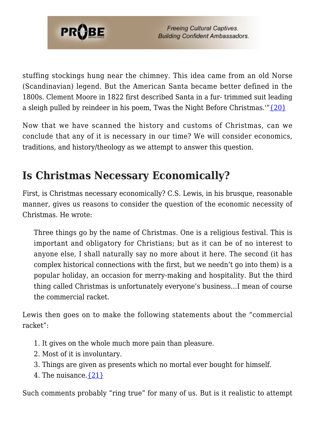

stuffing stockings hung near the chimney. This idea came from an old Norse (Scandinavian) legend. But the American Santa became better defined in the 1800s. Clement Moore in 1822 first described Santa in a fur- trimmed suit leading a sleigh pulled by reindeer in his poem, Twas the Night Before Christmas.'"[{20}](#page-12-18)

Now that we have scanned the history and customs of Christmas, can we conclude that any of it is necessary in our time? We will consider economics, traditions, and history/theology as we attempt to answer this question.

# **Is Christmas Necessary Economically?**

First, is Christmas necessary economically? C.S. Lewis, in his brusque, reasonable manner, gives us reasons to consider the question of the economic necessity of Christmas. He wrote:

Three things go by the name of Christmas. One is a religious festival. This is important and obligatory for Christians; but as it can be of no interest to anyone else, I shall naturally say no more about it here. The second (it has complex historical connections with the first, but we needn't go into them) is a popular holiday, an occasion for merry-making and hospitality. But the third thing called Christmas is unfortunately everyone's business…I mean of course the commercial racket.

Lewis then goes on to make the following statements about the "commercial racket":

- 1. It gives on the whole much more pain than pleasure.
- 2. Most of it is involuntary.
- 3. Things are given as presents which no mortal ever bought for himself.
- 4. The nuisance. $\{21\}$

Such comments probably "ring true" for many of us. But is it realistic to attempt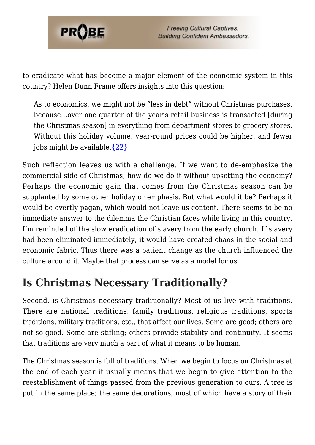

to eradicate what has become a major element of the economic system in this country? Helen Dunn Frame offers insights into this question:

As to economics, we might not be "less in debt" without Christmas purchases, because…over one quarter of the year's retail business is transacted [during the Christmas season] in everything from department stores to grocery stores. Without this holiday volume, year-round prices could be higher, and fewer jobs might be available.[{22}](#page-12-20)

Such reflection leaves us with a challenge. If we want to de-emphasize the commercial side of Christmas, how do we do it without upsetting the economy? Perhaps the economic gain that comes from the Christmas season can be supplanted by some other holiday or emphasis. But what would it be? Perhaps it would be overtly pagan, which would not leave us content. There seems to be no immediate answer to the dilemma the Christian faces while living in this country. I'm reminded of the slow eradication of slavery from the early church. If slavery had been eliminated immediately, it would have created chaos in the social and economic fabric. Thus there was a patient change as the church influenced the culture around it. Maybe that process can serve as a model for us.

## **Is Christmas Necessary Traditionally?**

Second, is Christmas necessary traditionally? Most of us live with traditions. There are national traditions, family traditions, religious traditions, sports traditions, military traditions, etc., that affect our lives. Some are good; others are not-so-good. Some are stifling; others provide stability and continuity. It seems that traditions are very much a part of what it means to be human.

The Christmas season is full of traditions. When we begin to focus on Christmas at the end of each year it usually means that we begin to give attention to the reestablishment of things passed from the previous generation to ours. A tree is put in the same place; the same decorations, most of which have a story of their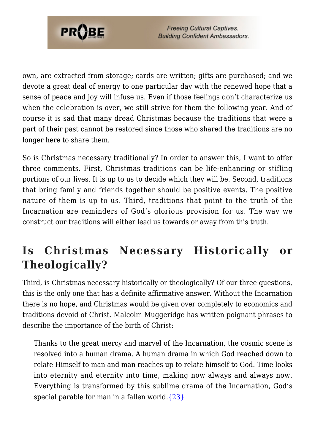

own, are extracted from storage; cards are written; gifts are purchased; and we devote a great deal of energy to one particular day with the renewed hope that a sense of peace and joy will infuse us. Even if those feelings don't characterize us when the celebration is over, we still strive for them the following year. And of course it is sad that many dread Christmas because the traditions that were a part of their past cannot be restored since those who shared the traditions are no longer here to share them.

So is Christmas necessary traditionally? In order to answer this, I want to offer three comments. First, Christmas traditions can be life-enhancing or stifling portions of our lives. It is up to us to decide which they will be. Second, traditions that bring family and friends together should be positive events. The positive nature of them is up to us. Third, traditions that point to the truth of the Incarnation are reminders of God's glorious provision for us. The way we construct our traditions will either lead us towards or away from this truth.

# **Is Christmas Necessary Historically or Theologically?**

Third, is Christmas necessary historically or theologically? Of our three questions, this is the only one that has a definite affirmative answer. Without the Incarnation there is no hope, and Christmas would be given over completely to economics and traditions devoid of Christ. Malcolm Muggeridge has written poignant phrases to describe the importance of the birth of Christ:

Thanks to the great mercy and marvel of the Incarnation, the cosmic scene is resolved into a human drama. A human drama in which God reached down to relate Himself to man and man reaches up to relate himself to God. Time looks into eternity and eternity into time, making now always and always now. Everything is transformed by this sublime drama of the Incarnation, God's special parable for man in a fallen world. $\{23\}$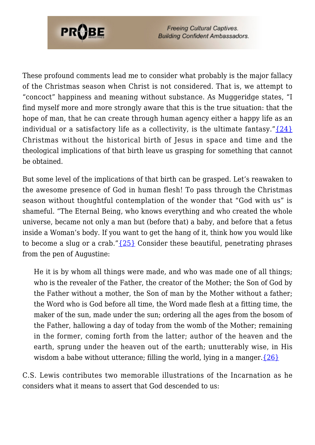

These profound comments lead me to consider what probably is the major fallacy of the Christmas season when Christ is not considered. That is, we attempt to "concoct" happiness and meaning without substance. As Muggeridge states, "I find myself more and more strongly aware that this is the true situation: that the hope of man, that he can create through human agency either a happy life as an individual or a satisfactory life as a collectivity, is the ultimate fantasy." $\{24\}$ Christmas without the historical birth of Jesus in space and time and the theological implications of that birth leave us grasping for something that cannot be obtained.

But some level of the implications of that birth can be grasped. Let's reawaken to the awesome presence of God in human flesh! To pass through the Christmas season without thoughtful contemplation of the wonder that "God with us" is shameful. "The Eternal Being, who knows everything and who created the whole universe, became not only a man but (before that) a baby, and before that a fetus inside a Woman's body. If you want to get the hang of it, think how you would like to become a slug or a crab." $\{25\}$  Consider these beautiful, penetrating phrases from the pen of Augustine:

He it is by whom all things were made, and who was made one of all things; who is the revealer of the Father, the creator of the Mother; the Son of God by the Father without a mother, the Son of man by the Mother without a father; the Word who is God before all time, the Word made flesh at a fitting time, the maker of the sun, made under the sun; ordering all the ages from the bosom of the Father, hallowing a day of today from the womb of the Mother; remaining in the former, coming forth from the latter; author of the heaven and the earth, sprung under the heaven out of the earth; unutterably wise, in His wisdom a babe without utterance; filling the world, lying in a manger.  $\{26\}$ 

C.S. Lewis contributes two memorable illustrations of the Incarnation as he considers what it means to assert that God descended to us: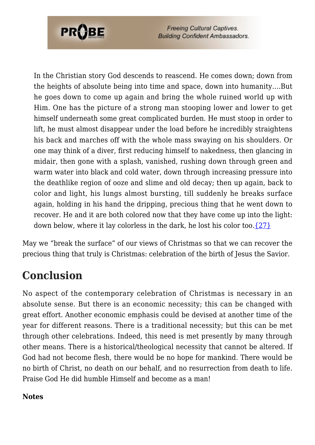

In the Christian story God descends to reascend. He comes down; down from the heights of absolute being into time and space, down into humanity….But he goes down to come up again and bring the whole ruined world up with Him. One has the picture of a strong man stooping lower and lower to get himself underneath some great complicated burden. He must stoop in order to lift, he must almost disappear under the load before he incredibly straightens his back and marches off with the whole mass swaying on his shoulders. Or one may think of a diver, first reducing himself to nakedness, then glancing in midair, then gone with a splash, vanished, rushing down through green and warm water into black and cold water, down through increasing pressure into the deathlike region of ooze and slime and old decay; then up again, back to color and light, his lungs almost bursting, till suddenly he breaks surface again, holding in his hand the dripping, precious thing that he went down to recover. He and it are both colored now that they have come up into the light: down below, where it lay colorless in the dark, he lost his color too. $\{27\}$ 

May we "break the surface" of our views of Christmas so that we can recover the precious thing that truly is Christmas: celebration of the birth of Jesus the Savior.

# **Conclusion**

No aspect of the contemporary celebration of Christmas is necessary in an absolute sense. But there is an economic necessity; this can be changed with great effort. Another economic emphasis could be devised at another time of the year for different reasons. There is a traditional necessity; but this can be met through other celebrations. Indeed, this need is met presently by many through other means. There is a historical/theological necessity that cannot be altered. If God had not become flesh, there would be no hope for mankind. There would be no birth of Christ, no death on our behalf, and no resurrection from death to life. Praise God He did humble Himself and become as a man!

#### <span id="page-11-0"></span>**Notes**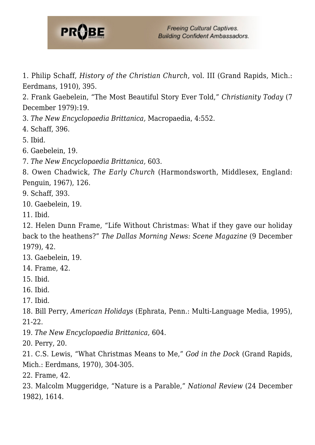

1. Philip Schaff, *History of the Christian Church*, vol. III (Grand Rapids, Mich.: Eerdmans, 1910), 395.

<span id="page-12-0"></span>2. Frank Gaebelein, "The Most Beautiful Story Ever Told," *Christianity Today* (7 December 1979):19.

<span id="page-12-1"></span>3. *The New Encyclopaedia Brittanica,* Macropaedia, 4:552.

<span id="page-12-2"></span>4. Schaff, 396.

<span id="page-12-3"></span>5. Ibid.

<span id="page-12-4"></span>6. Gaebelein, 19.

<span id="page-12-5"></span>7. *The New Encyclopaedia Brittanica,* 603.

<span id="page-12-6"></span>8. Owen Chadwick, *The Early Church* (Harmondsworth, Middlesex, England: Penguin, 1967), 126.

<span id="page-12-7"></span>9. Schaff, 393.

<span id="page-12-8"></span>10. Gaebelein, 19.

<span id="page-12-9"></span>11. Ibid.

<span id="page-12-10"></span>12. Helen Dunn Frame, "Life Without Christmas: What if they gave our holiday back to the heathens?" *The Dallas Morning News: Scene Magazine* (9 December 1979), 42.

<span id="page-12-11"></span>13. Gaebelein, 19.

<span id="page-12-12"></span>14. Frame, 42.

<span id="page-12-13"></span>15. Ibid.

<span id="page-12-14"></span>16. Ibid.

<span id="page-12-15"></span>17. Ibid.

<span id="page-12-16"></span>18. Bill Perry, *American Holidays* (Ephrata, Penn.: Multi-Language Media, 1995), 21-22.

<span id="page-12-17"></span>19. *The New Encyclopaedia Brittanica*, 604.

<span id="page-12-18"></span>20. Perry, 20.

<span id="page-12-19"></span>21. C.S. Lewis, "What Christmas Means to Me," *God in the Dock* (Grand Rapids, Mich.: Eerdmans, 1970), 304-305.

<span id="page-12-20"></span>22. Frame, 42.

<span id="page-12-22"></span><span id="page-12-21"></span>23. Malcolm Muggeridge, "Nature is a Parable," *National Review* (24 December 1982), 1614.